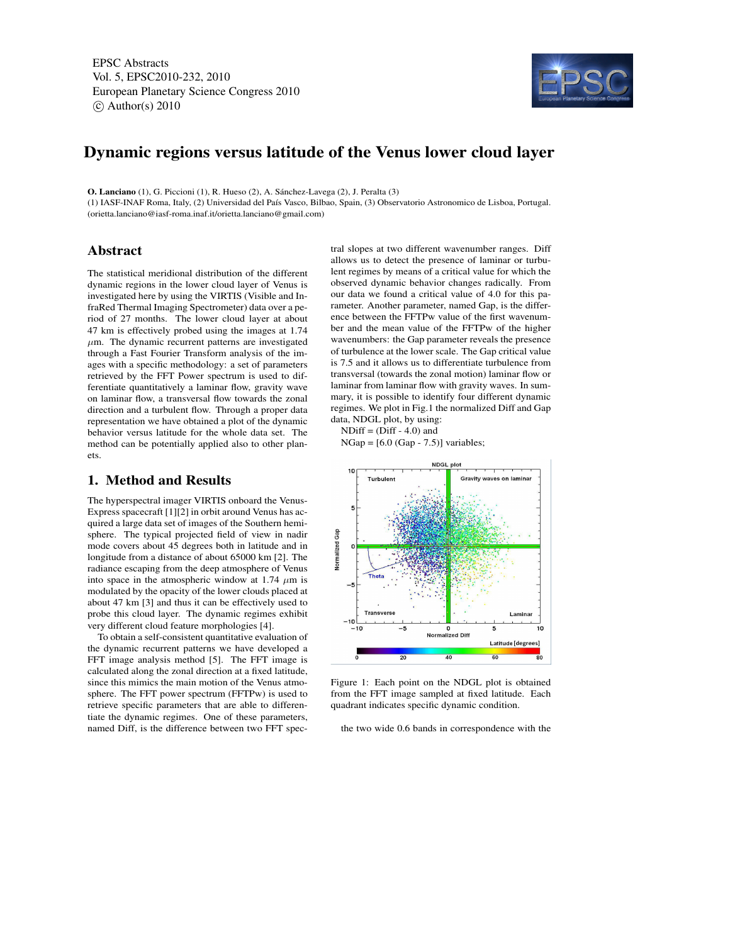EPSC Abstracts Vol. 5, EPSC2010-232, 2010 European Planetary Science Congress 2010  $\circ$  Author(s) 2010



# Dynamic regions versus latitude of the Venus lower cloud layer

O. Lanciano (1), G. Piccioni (1), R. Hueso (2), A. Sánchez-Lavega (2), J. Peralta (3)

(1) IASF-INAF Roma, Italy, (2) Universidad del País Vasco, Bilbao, Spain, (3) Observatorio Astronomico de Lisboa, Portugal. (orietta.lanciano@iasf-roma.inaf.it/orietta.lanciano@gmail.com)

#### Abstract

The statistical meridional distribution of the different dynamic regions in the lower cloud layer of Venus is investigated here by using the VIRTIS (Visible and InfraRed Thermal Imaging Spectrometer) data over a period of 27 months. The lower cloud layer at about 47 km is effectively probed using the images at 1.74  $\mu$ m. The dynamic recurrent patterns are investigated through a Fast Fourier Transform analysis of the images with a specific methodology: a set of parameters retrieved by the FFT Power spectrum is used to differentiate quantitatively a laminar flow, gravity wave on laminar flow, a transversal flow towards the zonal direction and a turbulent flow. Through a proper data representation we have obtained a plot of the dynamic behavior versus latitude for the whole data set. The method can be potentially applied also to other planets.

#### tral slopes at two different wavenumber ranges. Diff allows us to detect the presence of laminar or turbulent regimes by means of a critical value for which the observed dynamic behavior changes radically. From our data we found a critical value of 4.0 for this parameter. Another parameter, named Gap, is the difference between the FFTPw value of the first wavenumber and the mean value of the FFTPw of the higher wavenumbers: the Gap parameter reveals the presence of turbulence at the lower scale. The Gap critical value is 7.5 and it allows us to differentiate turbulence from transversal (towards the zonal motion) laminar flow or laminar from laminar flow with gravity waves. In summary, it is possible to identify four different dynamic regimes. We plot in Fig.1 the normalized Diff and Gap data, NDGL plot, by using:  $NDiff = (Diff - 4.0)$  and

 $NGap = [6.0 (Gap - 7.5)]$  variables;



Figure 1: Each point on the NDGL plot is obtained from the FFT image sampled at fixed latitude. Each quadrant indicates specific dynamic condition.

the two wide 0.6 bands in correspondence with the

# 1. Method and Results

The hyperspectral imager VIRTIS onboard the Venus-Express spacecraft [1][2] in orbit around Venus has acquired a large data set of images of the Southern hemisphere. The typical projected field of view in nadir mode covers about 45 degrees both in latitude and in longitude from a distance of about 65000 km [2]. The radiance escaping from the deep atmosphere of Venus into space in the atmospheric window at 1.74  $\mu$ m is modulated by the opacity of the lower clouds placed at about 47 km [3] and thus it can be effectively used to probe this cloud layer. The dynamic regimes exhibit very different cloud feature morphologies [4].

To obtain a self-consistent quantitative evaluation of the dynamic recurrent patterns we have developed a FFT image analysis method [5]. The FFT image is calculated along the zonal direction at a fixed latitude, since this mimics the main motion of the Venus atmosphere. The FFT power spectrum (FFTPw) is used to retrieve specific parameters that are able to differentiate the dynamic regimes. One of these parameters, named Diff, is the difference between two FFT spec